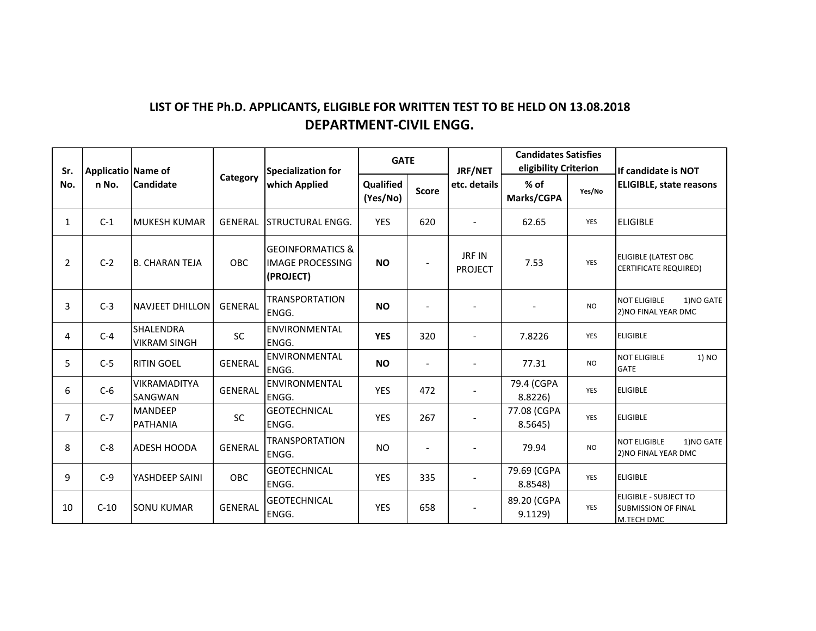## LIST OF THE Ph.D. APPLICANTS, ELIGIBLE FOR WRITTEN TEST TO BE HELD ON 13.08.2018 **DEPARTMENT-CIVIL ENGG.**

| Sr.            | Applicatio Name of<br>n No. | <b>Candidate</b>                  | Category       | <b>Specialization for</b><br>which Applied                          | <b>GATE</b>           |                | JRF/NET                         | <b>Candidates Satisfies</b><br>eligibility Criterion |            | If candidate is NOT                                                      |
|----------------|-----------------------------|-----------------------------------|----------------|---------------------------------------------------------------------|-----------------------|----------------|---------------------------------|------------------------------------------------------|------------|--------------------------------------------------------------------------|
| No.            |                             |                                   |                |                                                                     | Qualified<br>(Yes/No) | <b>Score</b>   | etc. details                    | $%$ of<br>Marks/CGPA                                 | Yes/No     | <b>ELIGIBLE, state reasons</b>                                           |
| $\mathbf{1}$   | $C-1$                       | <b>MUKESH KUMAR</b>               | <b>GENERAL</b> | ISTRUCTURAL ENGG.                                                   | <b>YES</b>            | 620            |                                 | 62.65                                                | YES        | <b>ELIGIBLE</b>                                                          |
| $\overline{2}$ | $C-2$                       | <b>B. CHARAN TEJA</b>             | <b>OBC</b>     | <b>GEOINFORMATICS &amp;</b><br><b>IMAGE PROCESSING</b><br>(PROJECT) | <b>NO</b>             | $\overline{a}$ | <b>JRF IN</b><br><b>PROJECT</b> | 7.53                                                 | <b>YES</b> | <b>ELIGIBLE (LATEST OBC</b><br><b>CERTIFICATE REQUIRED)</b>              |
| 3              | $C-3$                       | <b>NAVJEET DHILLON</b>            | <b>GENERAL</b> | <b>TRANSPORTATION</b><br>ENGG.                                      | <b>NO</b>             |                |                                 |                                                      | <b>NO</b>  | <b>NOT ELIGIBLE</b><br>1)NO GATE<br>2) NO FINAL YEAR DMC                 |
| 4              | $C-4$                       | SHALENDRA<br><b>VIKRAM SINGH</b>  | SC             | ENVIRONMENTAL<br>ENGG.                                              | <b>YES</b>            | 320            | $\overline{\phantom{a}}$        | 7.8226                                               | YES        | <b>ELIGIBLE</b>                                                          |
| 5              | $C-5$                       | <b>RITIN GOEL</b>                 | <b>GENERAL</b> | <b>ENVIRONMENTAL</b><br>ENGG.                                       | <b>NO</b>             | $\overline{a}$ | $\overline{\phantom{a}}$        | 77.31                                                | <b>NO</b>  | <b>NOT ELIGIBLE</b><br>1) NO<br><b>GATE</b>                              |
| 6              | $C-6$                       | VIKRAMADITYA<br>SANGWAN           | <b>GENERAL</b> | ENVIRONMENTAL<br>ENGG.                                              | <b>YES</b>            | 472            |                                 | 79.4 (CGPA<br>8.8226)                                | <b>YES</b> | <b>ELIGIBLE</b>                                                          |
| 7              | $C-7$                       | <b>MANDEEP</b><br><b>PATHANIA</b> | <b>SC</b>      | <b>GEOTECHNICAL</b><br>ENGG.                                        | <b>YES</b>            | 267            |                                 | 77.08 (CGPA<br>8.5645                                | YES        | <b>ELIGIBLE</b>                                                          |
| 8              | $C-8$                       | ADESH HOODA                       | <b>GENERAL</b> | TRANSPORTATION<br>ENGG.                                             | <b>NO</b>             | $\overline{a}$ | $\overline{\phantom{a}}$        | 79.94                                                | <b>NO</b>  | <b>NOT ELIGIBLE</b><br>1)NO GATE<br>2) NO FINAL YEAR DMC                 |
| 9              | $C-9$                       | YASHDEEP SAINI                    | OBC.           | <b>GEOTECHNICAL</b><br>ENGG.                                        | <b>YES</b>            | 335            | $\overline{\phantom{a}}$        | 79.69 (CGPA<br>8.8548)                               | YES        | <b>ELIGIBLE</b>                                                          |
| 10             | $C-10$                      | <b>SONU KUMAR</b>                 | <b>GENERAL</b> | <b>GEOTECHNICAL</b><br>ENGG.                                        | <b>YES</b>            | 658            | $\overline{\phantom{a}}$        | 89.20 (CGPA<br>9.1129                                | YES        | <b>ELIGIBLE - SUBJECT TO</b><br><b>SUBMISSION OF FINAL</b><br>M.TECH DMC |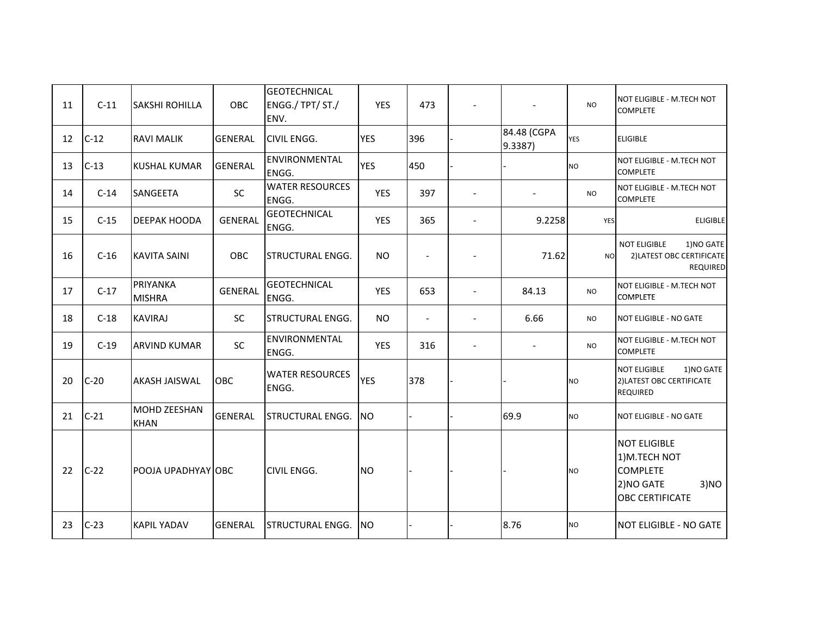| 11 | $C-11$ | <b>SAKSHI ROHILLA</b>              | OBC            | <b>GEOTECHNICAL</b><br>ENGG./ TPT/ ST./<br>ENV. | <b>YES</b> | 473                      |                              |                        | <b>NO</b>  | NOT ELIGIBLE - M.TECH NOT<br><b>COMPLETE</b>                                                           |
|----|--------|------------------------------------|----------------|-------------------------------------------------|------------|--------------------------|------------------------------|------------------------|------------|--------------------------------------------------------------------------------------------------------|
| 12 | $C-12$ | <b>RAVI MALIK</b>                  | <b>GENERAL</b> | <b>CIVIL ENGG.</b>                              | <b>YES</b> | 396                      |                              | 84.48 (CGPA<br>9.3387) | <b>YES</b> | <b>ELIGIBLE</b>                                                                                        |
| 13 | $C-13$ | KUSHAL KUMAR                       | <b>GENERAL</b> | ENVIRONMENTAL<br>ENGG.                          | <b>YES</b> | 450                      |                              |                        | <b>NO</b>  | NOT ELIGIBLE - M.TECH NOT<br><b>COMPLETE</b>                                                           |
| 14 | $C-14$ | <b>SANGEETA</b>                    | <b>SC</b>      | <b>WATER RESOURCES</b><br>ENGG.                 | <b>YES</b> | 397                      |                              |                        | <b>NO</b>  | NOT ELIGIBLE - M.TECH NOT<br><b>COMPLETE</b>                                                           |
| 15 | $C-15$ | <b>DEEPAK HOODA</b>                | <b>GENERAL</b> | <b>GEOTECHNICAL</b><br>ENGG.                    | <b>YES</b> | 365                      | $\overline{a}$               | 9.2258                 | YES        | <b>ELIGIBLE</b>                                                                                        |
| 16 | $C-16$ | <b>KAVITA SAINI</b>                | OBC            | <b>STRUCTURAL ENGG.</b>                         | <b>NO</b>  |                          |                              | 71.62                  | <b>NO</b>  | <b>NOT ELIGIBLE</b><br>1)NO GATE<br>2) LATEST OBC CERTIFICATE<br>REQUIRED                              |
| 17 | $C-17$ | PRIYANKA<br><b>MISHRA</b>          | <b>GENERAL</b> | <b>GEOTECHNICAL</b><br>ENGG.                    | <b>YES</b> | 653                      | $\overline{a}$               | 84.13                  | <b>NO</b>  | NOT ELIGIBLE - M.TECH NOT<br><b>COMPLETE</b>                                                           |
| 18 | $C-18$ | <b>KAVIRAJ</b>                     | <b>SC</b>      | <b>STRUCTURAL ENGG.</b>                         | <b>NO</b>  | $\overline{\phantom{a}}$ | $\qquad \qquad \blacksquare$ | 6.66                   | <b>NO</b>  | <b>NOT ELIGIBLE - NO GATE</b>                                                                          |
| 19 | $C-19$ | <b>ARVIND KUMAR</b>                | SC             | ENVIRONMENTAL<br>ENGG.                          | <b>YES</b> | 316                      | $\overline{\phantom{a}}$     |                        | <b>NO</b>  | NOT ELIGIBLE - M.TECH NOT<br><b>COMPLETE</b>                                                           |
| 20 | $C-20$ | AKASH JAISWAL                      | <b>OBC</b>     | <b>WATER RESOURCES</b><br>ENGG.                 | <b>YES</b> | 378                      |                              |                        | <b>NO</b>  | 1) NO GATE<br><b>NOT ELIGIBLE</b><br>2) LATEST OBC CERTIFICATE<br><b>REQUIRED</b>                      |
| 21 | $C-21$ | <b>MOHD ZEESHAN</b><br><b>KHAN</b> | <b>GENERAL</b> | <b>STRUCTURAL ENGG.</b>                         | NO.        |                          |                              | 69.9                   | <b>NO</b>  | NOT ELIGIBLE - NO GATE                                                                                 |
| 22 | $C-22$ | POOJA UPADHYAY OBC                 |                | <b>CIVIL ENGG.</b>                              | <b>NO</b>  |                          |                              |                        | <b>NO</b>  | <b>NOT ELIGIBLE</b><br>1)M.TECH NOT<br><b>COMPLETE</b><br>2) NO GATE<br>3)NO<br><b>OBC CERTIFICATE</b> |
| 23 | $C-23$ | <b>KAPIL YADAV</b>                 | <b>GENERAL</b> | <b>STRUCTURAL ENGG.</b>                         | <b>NO</b>  |                          |                              | 8.76                   | <b>NO</b>  | <b>NOT ELIGIBLE - NO GATE</b>                                                                          |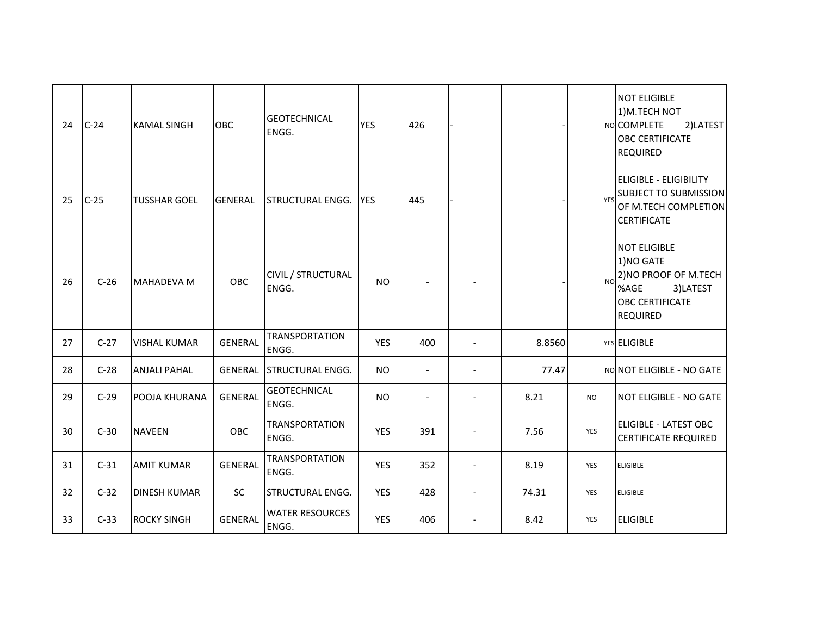| 24 | $C-24$ | <b>KAMAL SINGH</b>  | OBC            | <b>GEOTECHNICAL</b><br>ENGG.    | <b>YES</b> | 426                      |                          |        |                | <b>NOT ELIGIBLE</b><br>1)M.TECH NOT<br>NO COMPLETE<br>2)LATEST<br><b>OBC CERTIFICATE</b><br><b>REQUIRED</b>                |
|----|--------|---------------------|----------------|---------------------------------|------------|--------------------------|--------------------------|--------|----------------|----------------------------------------------------------------------------------------------------------------------------|
| 25 | $C-25$ | <b>TUSSHAR GOEL</b> | <b>GENERAL</b> | <b>STRUCTURAL ENGG.</b>         | <b>YES</b> | 445                      |                          |        | YES            | <b>ELIGIBLE - ELIGIBILITY</b><br><b>SUBJECT TO SUBMISSION</b><br>OF M.TECH COMPLETION<br><b>CERTIFICATE</b>                |
| 26 | $C-26$ | <b>MAHADEVA M</b>   | OBC            | CIVIL / STRUCTURAL<br>ENGG.     | <b>NO</b>  |                          |                          |        | N <sub>O</sub> | <b>NOT ELIGIBLE</b><br>1)NO GATE<br>2) NO PROOF OF M.TECH<br>%AGE<br>3)LATEST<br><b>OBC CERTIFICATE</b><br><b>REQUIRED</b> |
| 27 | $C-27$ | <b>VISHAL KUMAR</b> | <b>GENERAL</b> | <b>TRANSPORTATION</b><br>ENGG.  | <b>YES</b> | 400                      |                          | 8.8560 |                | YES ELIGIBLE                                                                                                               |
| 28 | $C-28$ | <b>ANJALI PAHAL</b> | <b>GENERAL</b> | <b>STRUCTURAL ENGG.</b>         | <b>NO</b>  | $\overline{\phantom{a}}$ |                          | 77.47  |                | NO NOT ELIGIBLE - NO GATE                                                                                                  |
| 29 | $C-29$ | POOJA KHURANA       | <b>GENERAL</b> | <b>GEOTECHNICAL</b><br>ENGG.    | <b>NO</b>  |                          |                          | 8.21   | <b>NO</b>      | <b>NOT ELIGIBLE - NO GATE</b>                                                                                              |
| 30 | $C-30$ | <b>NAVEEN</b>       | OBC            | <b>TRANSPORTATION</b><br>ENGG.  | <b>YES</b> | 391                      | $\overline{\phantom{a}}$ | 7.56   | YES            | <b>ELIGIBLE - LATEST OBC</b><br><b>CERTIFICATE REQUIRED</b>                                                                |
| 31 | $C-31$ | <b>AMIT KUMAR</b>   | <b>GENERAL</b> | <b>TRANSPORTATION</b><br>ENGG.  | <b>YES</b> | 352                      | $\overline{\phantom{a}}$ | 8.19   | YES            | <b>ELIGIBLE</b>                                                                                                            |
| 32 | $C-32$ | <b>DINESH KUMAR</b> | <b>SC</b>      | <b>STRUCTURAL ENGG.</b>         | YES        | 428                      | $\overline{\phantom{a}}$ | 74.31  | YES            | <b>ELIGIBLE</b>                                                                                                            |
| 33 | $C-33$ | <b>ROCKY SINGH</b>  | <b>GENERAL</b> | <b>WATER RESOURCES</b><br>ENGG. | <b>YES</b> | 406                      |                          | 8.42   | <b>YES</b>     | <b>ELIGIBLE</b>                                                                                                            |